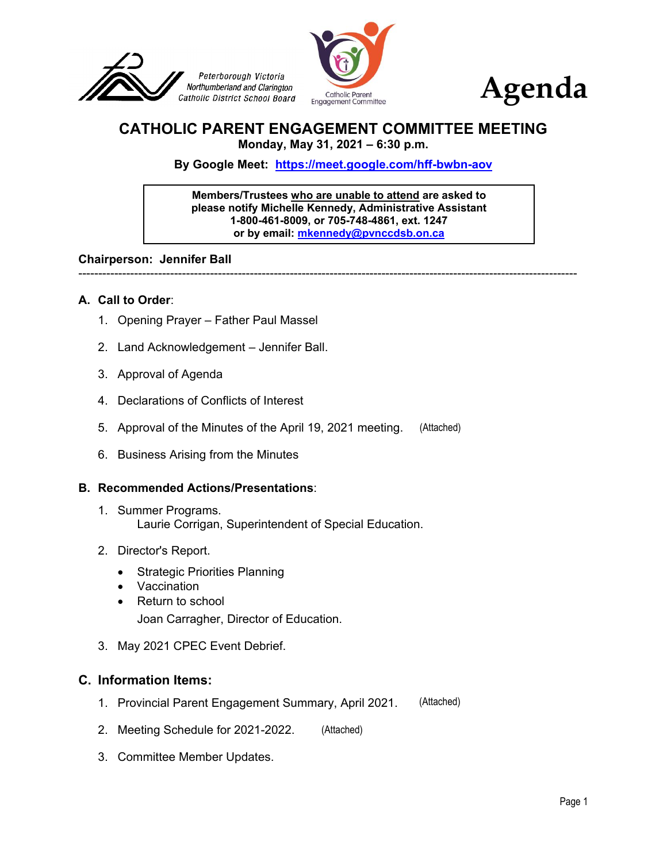



#### **CATHOLIC PARENT ENGAGEMENT COMMITTEE MEETING Monday, May 31, 2021 – 6:30 p.m.**

**By Google Meet: <https://meet.google.com/hff-bwbn-aov>**

**Members/Trustees who are unable to attend are asked to please notify Michelle Kennedy, Administrative Assistant 1-800-461-8009, or 705-748-4861, ext. 1247 or by email: [mkennedy@pvnccdsb.on.ca](mailto:mkennedy@pvnccdsb.on.ca)**

-----------------------------------------------------------------------------------------------------------------------------

#### **Chairperson: Jennifer Ball**

#### **A. Call to Order**:

- 1. Opening Prayer Father Paul Massel
- 2. Land Acknowledgement Jennifer Ball.
- 3. Approval of Agenda
- 4. Declarations of Conflicts of Interest
- 5. Approval of the Minutes of the April 19, 2021 meeting.
- 6. Business Arising from the Minutes

#### **B. Recommended Actions/Presentations**:

- 1. Summer Programs. Laurie Corrigan, Superintendent of Special Education. , 2021 meeting. [\(Attached\)](#page-2-0)<br>Special Education.<br>ion.<br>Attached)
- 2. Director's Report.
	- Strategic Priorities Planning
	- Vaccination
	- Return to school
		- Joan Carragher, Director of Education.
- 3. May 2021 CPEC Event Debrief.

#### **C. Information Items:**

- 1. Provincial Parent Engagement Summary, April 2021. [\(Attached\)](#page-6-0)
- 2. Meeting Schedule for 2021-2022.
- 3. Committee Member Updates.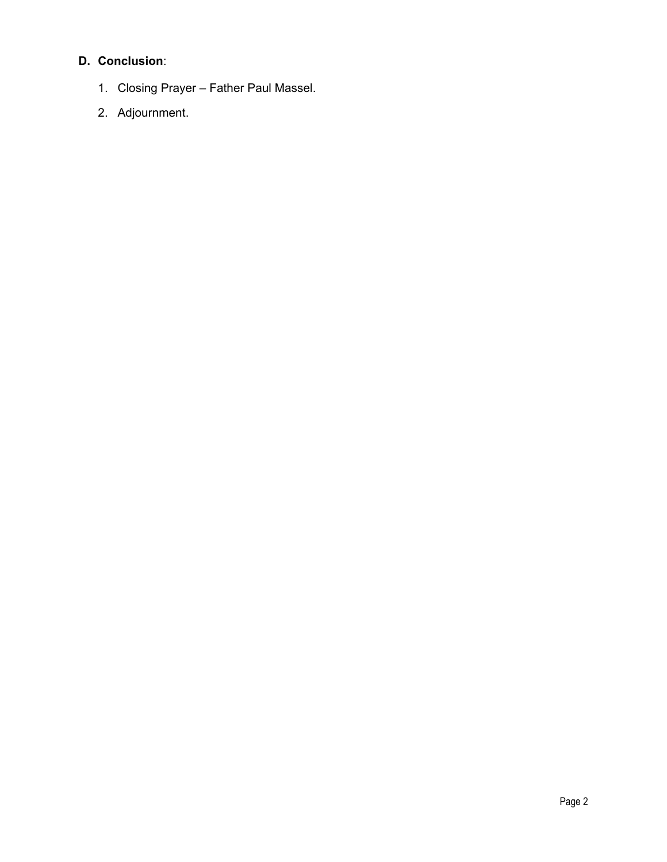## **D. Conclusion**:

- 1. Closing Prayer Father Paul Massel.
- 2. Adjournment.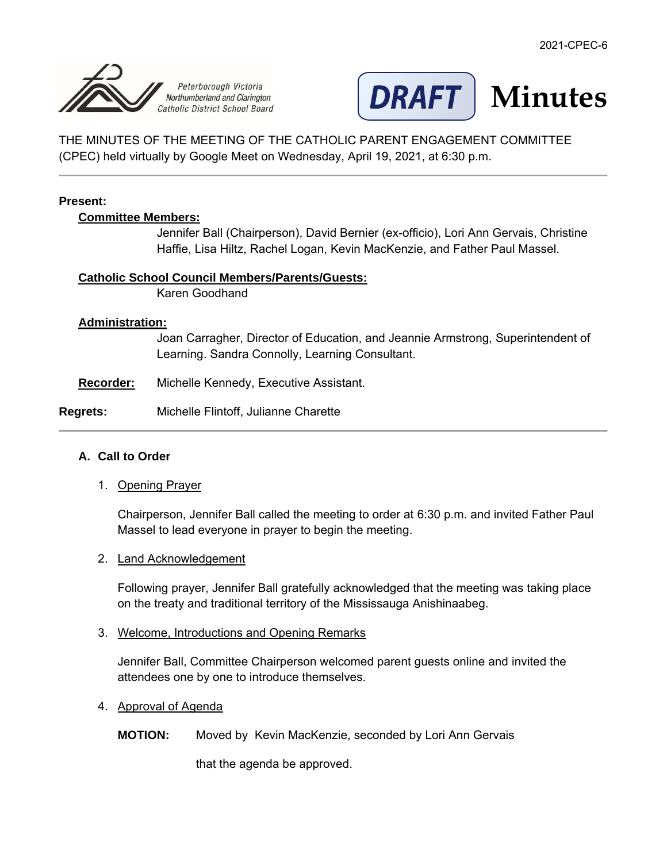<span id="page-2-0"></span>



THE MINUTES OF THE MEETING OF THE CATHOLIC PARENT ENGAGEMENT COMMITTEE (CPEC) held virtually by Google Meet on Wednesday, April 19, 2021, at 6:30 p.m.

#### **Present:**

#### **Committee Members:**

Jennifer Ball (Chairperson), David Bernier (ex-officio), Lori Ann Gervais, Christine Haffie, Lisa Hiltz, Rachel Logan, Kevin MacKenzie, and Father Paul Massel.

#### **Catholic School Council Members/Parents/Guests:**

Karen Goodhand

#### **Administration:**

Joan Carragher, Director of Education, and Jeannie Armstrong, Superintendent of Learning. Sandra Connolly, Learning Consultant.

**Recorder:** Michelle Kennedy, Executive Assistant.

#### **Regrets:** Michelle Flintoff, Julianne Charette

#### **A. Call to Order**

1. Opening Prayer

Chairperson, Jennifer Ball called the meeting to order at 6:30 p.m. and invited Father Paul Massel to lead everyone in prayer to begin the meeting.

#### 2. Land Acknowledgement

Following prayer, Jennifer Ball gratefully acknowledged that the meeting was taking place on the treaty and traditional territory of the Mississauga Anishinaabeg.

#### 3. Welcome, Introductions and Opening Remarks

Jennifer Ball, Committee Chairperson welcomed parent guests online and invited the attendees one by one to introduce themselves.

#### 4. Approval of Agenda

#### **MOTION:** Moved by Kevin MacKenzie, seconded by Lori Ann Gervais

that the agenda be approved.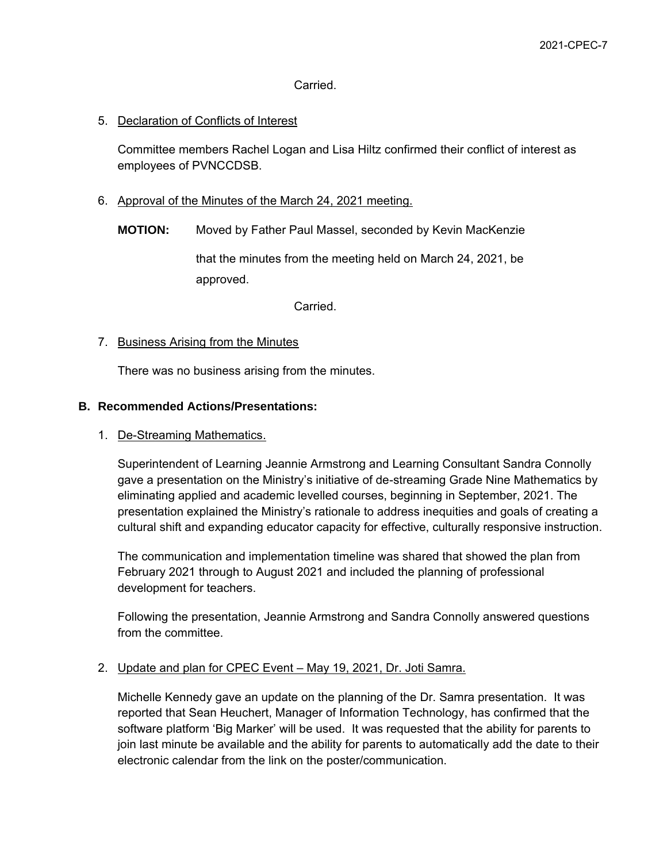#### Carried.

#### 5. Declaration of Conflicts of Interest

Committee members Rachel Logan and Lisa Hiltz confirmed their conflict of interest as employees of PVNCCDSB.

- 6. Approval of the Minutes of the March 24, 2021 meeting.
	- **MOTION:** Moved by Father Paul Massel, seconded by Kevin MacKenzie

that the minutes from the meeting held on March 24, 2021, be approved.

Carried.

#### 7. Business Arising from the Minutes

There was no business arising from the minutes.

#### **B. Recommended Actions/Presentations:**

#### 1. De-Streaming Mathematics.

Superintendent of Learning Jeannie Armstrong and Learning Consultant Sandra Connolly gave a presentation on the Ministry's initiative of de-streaming Grade Nine Mathematics by eliminating applied and academic levelled courses, beginning in September, 2021. The presentation explained the Ministry's rationale to address inequities and goals of creating a cultural shift and expanding educator capacity for effective, culturally responsive instruction.

The communication and implementation timeline was shared that showed the plan from February 2021 through to August 2021 and included the planning of professional development for teachers.

Following the presentation, Jeannie Armstrong and Sandra Connolly answered questions from the committee.

#### 2. Update and plan for CPEC Event – May 19, 2021, Dr. Joti Samra.

Michelle Kennedy gave an update on the planning of the Dr. Samra presentation. It was reported that Sean Heuchert, Manager of Information Technology, has confirmed that the software platform 'Big Marker' will be used. It was requested that the ability for parents to join last minute be available and the ability for parents to automatically add the date to their electronic calendar from the link on the poster/communication.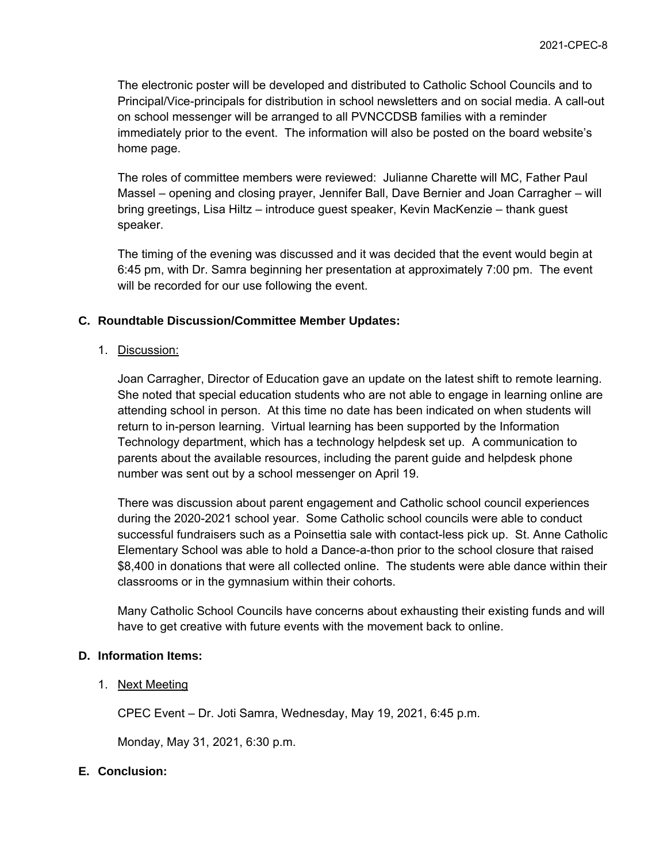The electronic poster will be developed and distributed to Catholic School Councils and to Principal/Vice-principals for distribution in school newsletters and on social media. A call-out on school messenger will be arranged to all PVNCCDSB families with a reminder immediately prior to the event. The information will also be posted on the board website's home page.

The roles of committee members were reviewed: Julianne Charette will MC, Father Paul Massel – opening and closing prayer, Jennifer Ball, Dave Bernier and Joan Carragher – will bring greetings, Lisa Hiltz – introduce guest speaker, Kevin MacKenzie – thank guest speaker.

The timing of the evening was discussed and it was decided that the event would begin at 6:45 pm, with Dr. Samra beginning her presentation at approximately 7:00 pm. The event will be recorded for our use following the event.

#### **C. Roundtable Discussion/Committee Member Updates:**

1. Discussion:

Joan Carragher, Director of Education gave an update on the latest shift to remote learning. She noted that special education students who are not able to engage in learning online are attending school in person. At this time no date has been indicated on when students will return to in-person learning. Virtual learning has been supported by the Information Technology department, which has a technology helpdesk set up. A communication to parents about the available resources, including the parent guide and helpdesk phone number was sent out by a school messenger on April 19.

There was discussion about parent engagement and Catholic school council experiences during the 2020-2021 school year. Some Catholic school councils were able to conduct successful fundraisers such as a Poinsettia sale with contact-less pick up. St. Anne Catholic Elementary School was able to hold a Dance-a-thon prior to the school closure that raised \$8,400 in donations that were all collected online. The students were able dance within their classrooms or in the gymnasium within their cohorts.

Many Catholic School Councils have concerns about exhausting their existing funds and will have to get creative with future events with the movement back to online.

#### **D. Information Items:**

1. Next Meeting

CPEC Event – Dr. Joti Samra, Wednesday, May 19, 2021, 6:45 p.m.

Monday, May 31, 2021, 6:30 p.m.

#### **E. Conclusion:**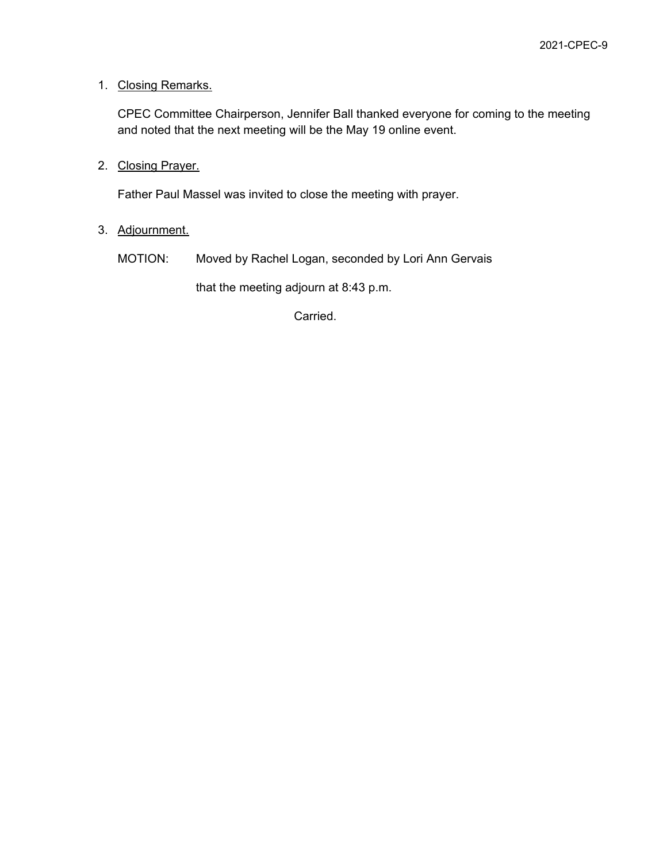#### 1. Closing Remarks.

CPEC Committee Chairperson, Jennifer Ball thanked everyone for coming to the meeting and noted that the next meeting will be the May 19 online event.

2. Closing Prayer.

Father Paul Massel was invited to close the meeting with prayer.

3. Adjournment.

MOTION: Moved by Rachel Logan, seconded by Lori Ann Gervais

that the meeting adjourn at 8:43 p.m.

Carried.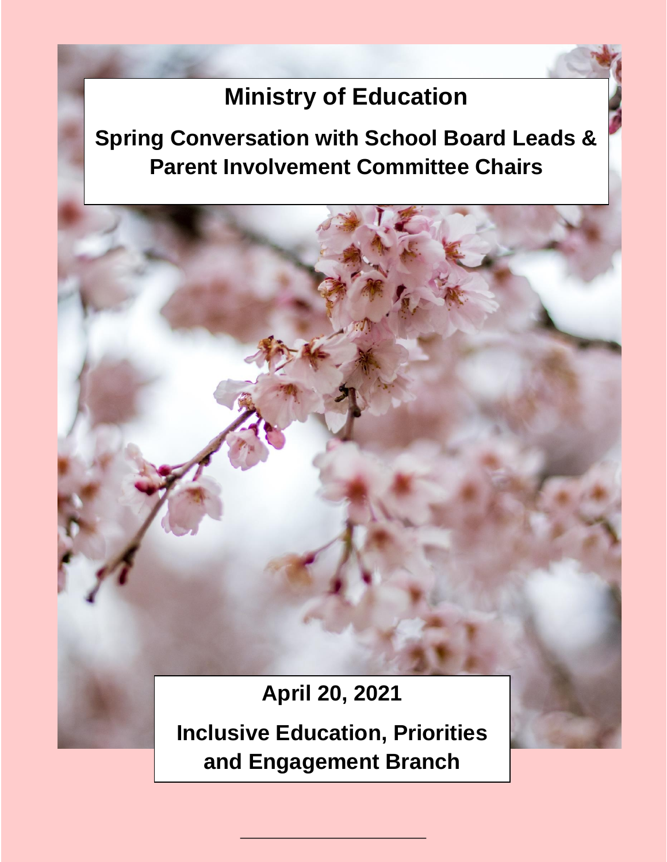# **Ministry of Education**

<span id="page-6-0"></span>**Spring Conversation with School Board Leads & Parent Involvement Committee Chairs**

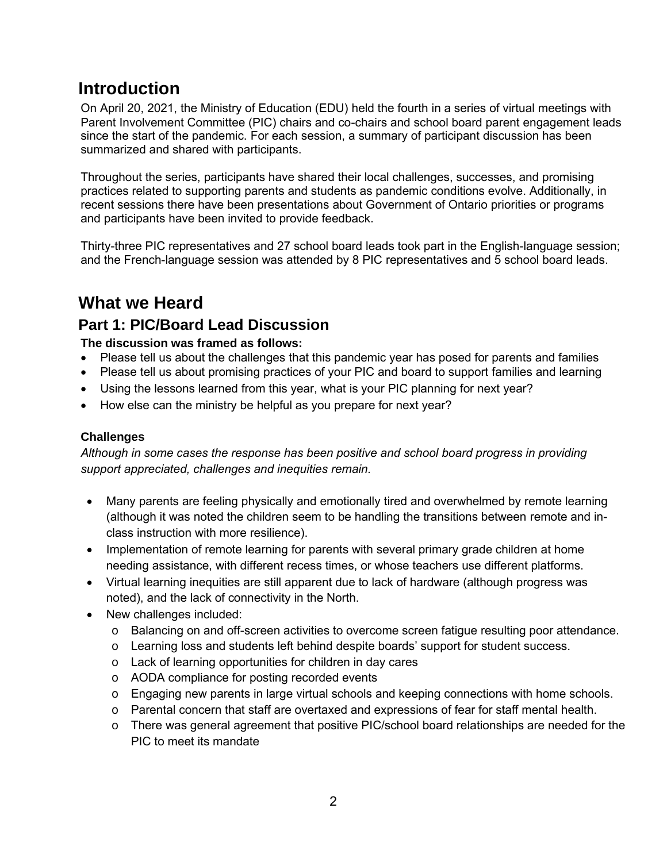# **Introduction**

On April 20, 2021, the Ministry of Education (EDU) held the fourth in a series of virtual meetings with Parent Involvement Committee (PIC) chairs and co-chairs and school board parent engagement leads since the start of the pandemic. For each session, a summary of participant discussion has been summarized and shared with participants.

Throughout the series, participants have shared their local challenges, successes, and promising practices related to supporting parents and students as pandemic conditions evolve. Additionally, in recent sessions there have been presentations about Government of Ontario priorities or programs and participants have been invited to provide feedback.

Thirty-three PIC representatives and 27 school board leads took part in the English-language session; and the French-language session was attended by 8 PIC representatives and 5 school board leads.

# **What we Heard**

# **Part 1: PIC/Board Lead Discussion**

## **The discussion was framed as follows:**

- Please tell us about the challenges that this pandemic year has posed for parents and families
- Please tell us about promising practices of your PIC and board to support families and learning
- Using the lessons learned from this year, what is your PIC planning for next year?
- How else can the ministry be helpful as you prepare for next year?

## **Challenges**

*Although in some cases the response has been positive and school board progress in providing support appreciated, challenges and inequities remain.*

- Many parents are feeling physically and emotionally tired and overwhelmed by remote learning (although it was noted the children seem to be handling the transitions between remote and inclass instruction with more resilience).
- Implementation of remote learning for parents with several primary grade children at home needing assistance, with different recess times, or whose teachers use different platforms.
- Virtual learning inequities are still apparent due to lack of hardware (although progress was noted), and the lack of connectivity in the North.
- New challenges included:
	- o Balancing on and off-screen activities to overcome screen fatigue resulting poor attendance.
	- o Learning loss and students left behind despite boards' support for student success.
	- o Lack of learning opportunities for children in day cares
	- o AODA compliance for posting recorded events
	- o Engaging new parents in large virtual schools and keeping connections with home schools.
	- o Parental concern that staff are overtaxed and expressions of fear for staff mental health.
	- o There was general agreement that positive PIC/school board relationships are needed for the PIC to meet its mandate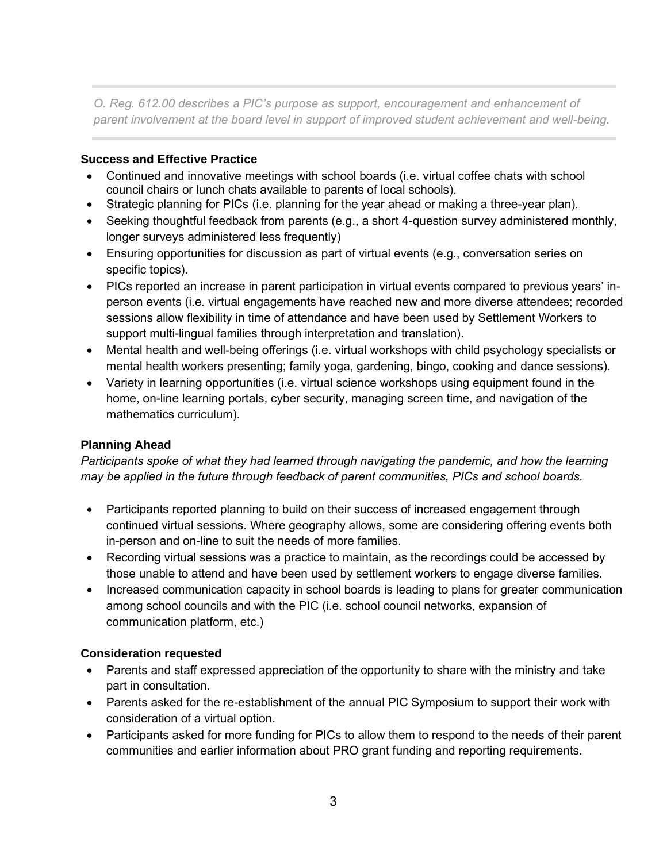*O. Reg. 612.00 describes a PIC's purpose as support, encouragement and enhancement of parent involvement at the board level in support of improved student achievement and well-being.*

#### **Success and Effective Practice**

- Continued and innovative meetings with school boards (i.e. virtual coffee chats with school council chairs or lunch chats available to parents of local schools).
- Strategic planning for PICs (i.e. planning for the year ahead or making a three-year plan).
- Seeking thoughtful feedback from parents (e.g., a short 4-question survey administered monthly, longer surveys administered less frequently)
- Ensuring opportunities for discussion as part of virtual events (e.g., conversation series on specific topics).
- PICs reported an increase in parent participation in virtual events compared to previous years' inperson events (i.e. virtual engagements have reached new and more diverse attendees; recorded sessions allow flexibility in time of attendance and have been used by Settlement Workers to support multi-lingual families through interpretation and translation).
- Mental health and well-being offerings (i.e. virtual workshops with child psychology specialists or mental health workers presenting; family yoga, gardening, bingo, cooking and dance sessions).
- Variety in learning opportunities (i.e. virtual science workshops using equipment found in the home, on-line learning portals, cyber security, managing screen time, and navigation of the mathematics curriculum).

# **Planning Ahead**

*Participants spoke of what they had learned through navigating the pandemic, and how the learning may be applied in the future through feedback of parent communities, PICs and school boards.* 

- Participants reported planning to build on their success of increased engagement through continued virtual sessions. Where geography allows, some are considering offering events both in-person and on-line to suit the needs of more families.
- Recording virtual sessions was a practice to maintain, as the recordings could be accessed by those unable to attend and have been used by settlement workers to engage diverse families.
- Increased communication capacity in school boards is leading to plans for greater communication among school councils and with the PIC (i.e. school council networks, expansion of communication platform, etc.)

#### **Consideration requested**

- Parents and staff expressed appreciation of the opportunity to share with the ministry and take part in consultation.
- Parents asked for the re-establishment of the annual PIC Symposium to support their work with consideration of a virtual option.
- Participants asked for more funding for PICs to allow them to respond to the needs of their parent communities and earlier information about PRO grant funding and reporting requirements.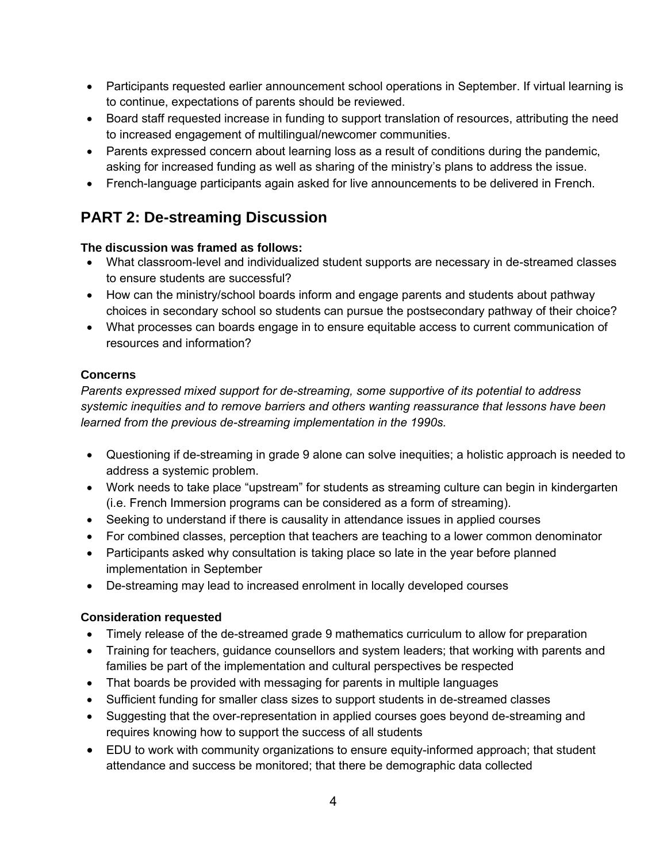- Participants requested earlier announcement school operations in September. If virtual learning is to continue, expectations of parents should be reviewed.
- Board staff requested increase in funding to support translation of resources, attributing the need to increased engagement of multilingual/newcomer communities.
- Parents expressed concern about learning loss as a result of conditions during the pandemic, asking for increased funding as well as sharing of the ministry's plans to address the issue.
- French-language participants again asked for live announcements to be delivered in French.

# **PART 2: De-streaming Discussion**

## **The discussion was framed as follows:**

- What classroom-level and individualized student supports are necessary in de-streamed classes to ensure students are successful?
- How can the ministry/school boards inform and engage parents and students about pathway choices in secondary school so students can pursue the postsecondary pathway of their choice?
- What processes can boards engage in to ensure equitable access to current communication of resources and information?

# **Concerns**

*Parents expressed mixed support for de-streaming, some supportive of its potential to address systemic inequities and to remove barriers and others wanting reassurance that lessons have been learned from the previous de-streaming implementation in the 1990s.*

- Questioning if de-streaming in grade 9 alone can solve inequities; a holistic approach is needed to address a systemic problem.
- Work needs to take place "upstream" for students as streaming culture can begin in kindergarten (i.e. French Immersion programs can be considered as a form of streaming).
- Seeking to understand if there is causality in attendance issues in applied courses
- For combined classes, perception that teachers are teaching to a lower common denominator
- Participants asked why consultation is taking place so late in the year before planned implementation in September
- De-streaming may lead to increased enrolment in locally developed courses

# **Consideration requested**

- Timely release of the de-streamed grade 9 mathematics curriculum to allow for preparation
- Training for teachers, guidance counsellors and system leaders; that working with parents and families be part of the implementation and cultural perspectives be respected
- That boards be provided with messaging for parents in multiple languages
- Sufficient funding for smaller class sizes to support students in de-streamed classes
- Suggesting that the over-representation in applied courses goes beyond de-streaming and requires knowing how to support the success of all students
- EDU to work with community organizations to ensure equity-informed approach; that student attendance and success be monitored; that there be demographic data collected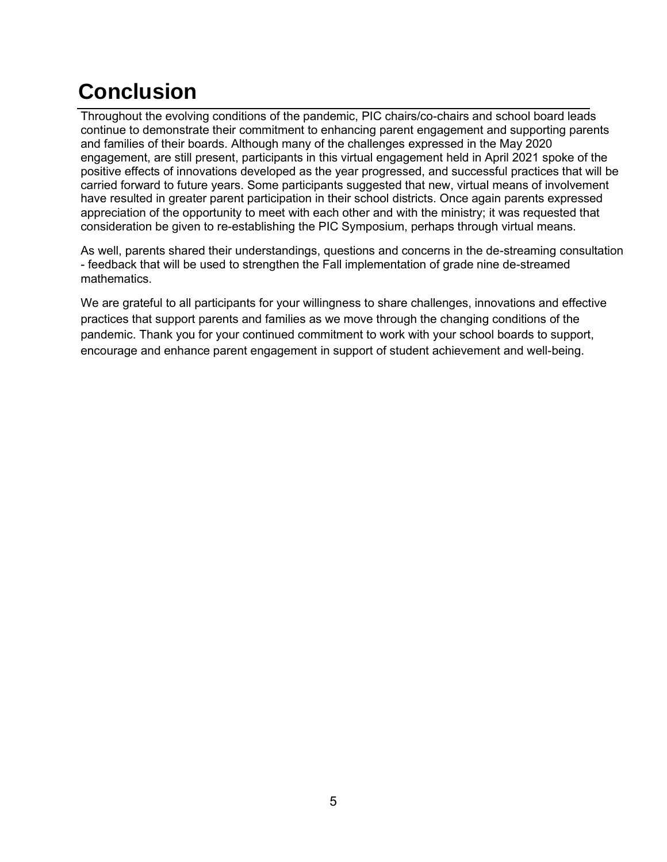# **Conclusion**

Throughout the evolving conditions of the pandemic, PIC chairs/co-chairs and school board leads continue to demonstrate their commitment to enhancing parent engagement and supporting parents and families of their boards. Although many of the challenges expressed in the May 2020 engagement, are still present, participants in this virtual engagement held in April 2021 spoke of the positive effects of innovations developed as the year progressed, and successful practices that will be carried forward to future years. Some participants suggested that new, virtual means of involvement have resulted in greater parent participation in their school districts. Once again parents expressed appreciation of the opportunity to meet with each other and with the ministry; it was requested that consideration be given to re-establishing the PIC Symposium, perhaps through virtual means.

As well, parents shared their understandings, questions and concerns in the de-streaming consultation - feedback that will be used to strengthen the Fall implementation of grade nine de-streamed mathematics.

We are grateful to all participants for your willingness to share challenges, innovations and effective practices that support parents and families as we move through the changing conditions of the pandemic. Thank you for your continued commitment to work with your school boards to support, encourage and enhance parent engagement in support of student achievement and well-being.